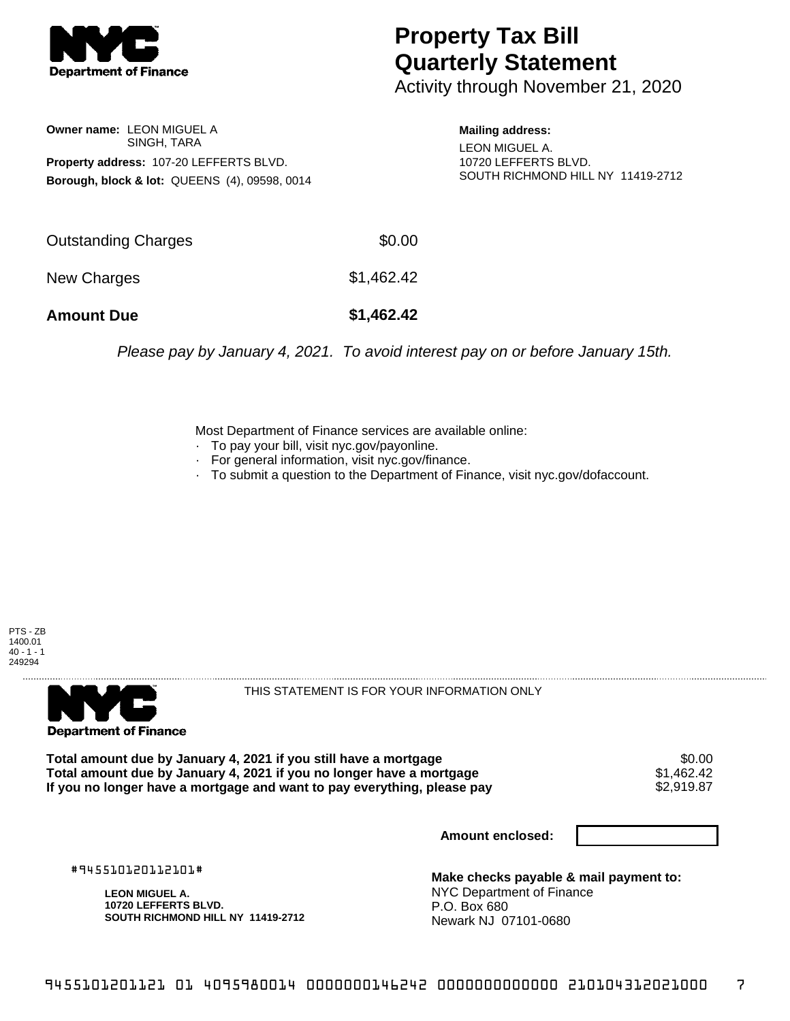

## **Property Tax Bill Quarterly Statement**

Activity through November 21, 2020

**Owner name:** LEON MIGUEL A SINGH, TARA **Property address:** 107-20 LEFFERTS BLVD. **Borough, block & lot:** QUEENS (4), 09598, 0014 **Mailing address:**

LEON MIGUEL A. 10720 LEFFERTS BLVD. SOUTH RICHMOND HILL NY 11419-2712

| <b>Amount Due</b>   | \$1,462.42 |
|---------------------|------------|
| New Charges         | \$1,462.42 |
| Outstanding Charges | \$0.00     |

Please pay by January 4, 2021. To avoid interest pay on or before January 15th.

Most Department of Finance services are available online:

- · To pay your bill, visit nyc.gov/payonline.
- For general information, visit nyc.gov/finance.
- · To submit a question to the Department of Finance, visit nyc.gov/dofaccount.

PTS - ZB 1400.01  $40 - 1 - 1$ 249294



THIS STATEMENT IS FOR YOUR INFORMATION ONLY

Total amount due by January 4, 2021 if you still have a mortgage \$0.00<br>Total amount due by January 4, 2021 if you no longer have a mortgage \$1.462.42 **Total amount due by January 4, 2021 if you no longer have a mortgage**  $$1,462.42$$ **<br>If you no longer have a mortgage and want to pay everything, please pay**  $$2,919.87$$ If you no longer have a mortgage and want to pay everything, please pay

**Amount enclosed:**

#945510120112101#

**LEON MIGUEL A. 10720 LEFFERTS BLVD. SOUTH RICHMOND HILL NY 11419-2712**

**Make checks payable & mail payment to:** NYC Department of Finance P.O. Box 680 Newark NJ 07101-0680